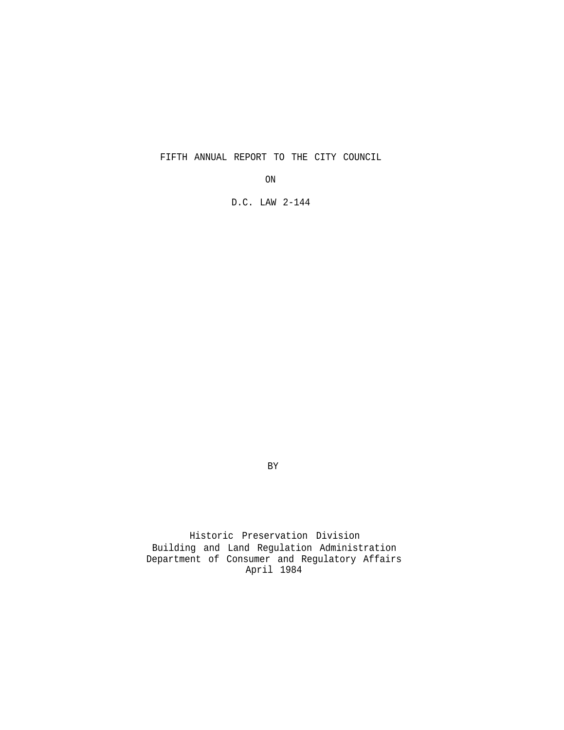FIFTH ANNUAL REPORT TO THE CITY COUNCIL

ON

D.C. LAW 2-144

BY

Historic Preservation Division Building and Land Regulation Administration Department of Consumer and Regulatory Affairs April 1984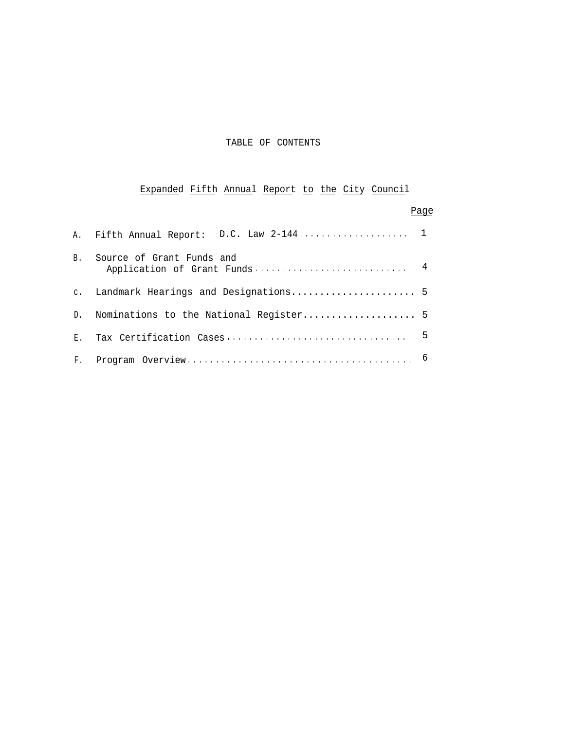### TABLE OF CONTENTS

# Expanded Fifth Annual Report to the City Council

|              |                                          | Page |
|--------------|------------------------------------------|------|
|              | A. Fifth Annual Report: D.C. Law 2-144 1 |      |
| <b>B</b> .   | Source of Grant Funds and                |      |
|              |                                          |      |
| D.           | Nominations to the National Register 5   |      |
| $E$ .        |                                          | 5    |
| $F_{\rm{L}}$ |                                          |      |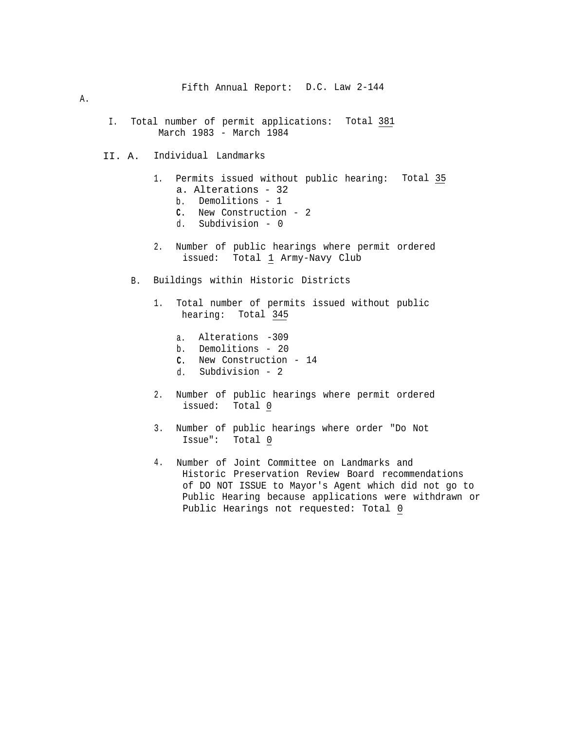#### A.

- I. Total number of permit applications: Total 381 March 1983 - March 1984
- II. A. Individual Landmarks
	- 1. Permits issued without public hearing: Total 35 a. Alterations - 32
		- b. Demolitions 1
		- **C.** New Construction 2
		- d. Subdivision 0
	- 2. Number of public hearings where permit ordered issued: Total 1 Army-Navy Club
	- B. Buildings within Historic Districts
		- 1. Total number of permits issued without public hearing: Total 345
			- a. Alterations -309
			- b. Demolitions 20
			- **C.** New Construction 14
			- d. Subdivision 2
		- 2. Number of public hearings where permit ordered issued: Total 0
		- 3. Number of public hearings where order "Do Not Issue": Total 0
		- 4. Number of Joint Committee on Landmarks and Historic Preservation Review Board recommendations of DO NOT ISSUE to Mayor's Agent which did not go to Public Hearing because applications were withdrawn or Public Hearings not requested: Total 0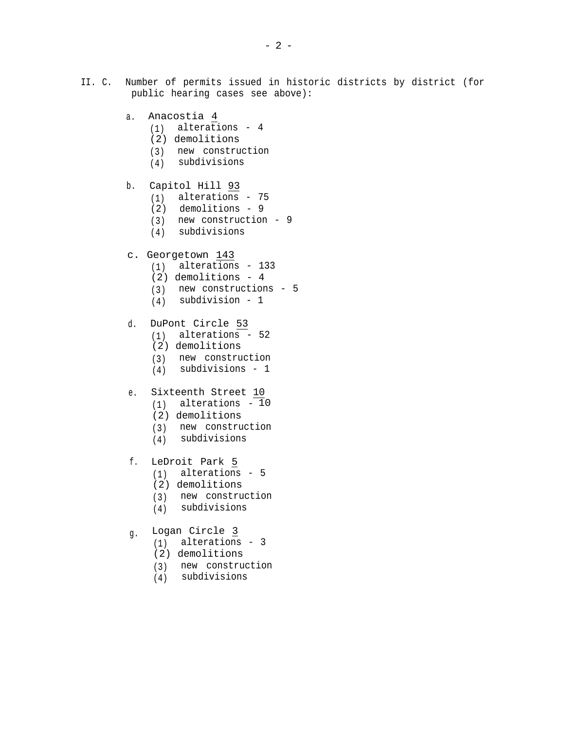- II. C. Number of permits issued in historic districts by district (for public hearing cases see above):
	- a. Anacostia 4
		- (1) alterations 4
		- (2) demolitions
		- (3) new construction
		- (4) subdivisions
	- b. Capitol Hill 93
		- (1) alterations 75
		- (2) demolitions 9
		- (3) new construction 9
		- (4) subdivisions
	- c. Georgetown 143
		- (1) alterations 133
		- (2) demolitions 4
		- (3) new constructions 5
		- (4) subdivision 1
	- d. DuPont Circle 53
		- (1) alterations 52
		- (2) demolitions
		- (3) new construction
		- (4) subdivisions 1
	- e. Sixteenth Street 10
		- $(1)$  alterations  $-10$
		- (2) demolitions
		- (3) new construction
		- (4) subdivisions
	- f. LeDroit Park 5
		- (1) alterations 5
		- (2) demolitions
		- (3) new construction
		- (4) subdivisions
	- g. Logan Circle 3
		- (1) alterations 3
		- (2) demolitions
		- (3) new construction
		- (4) subdivisions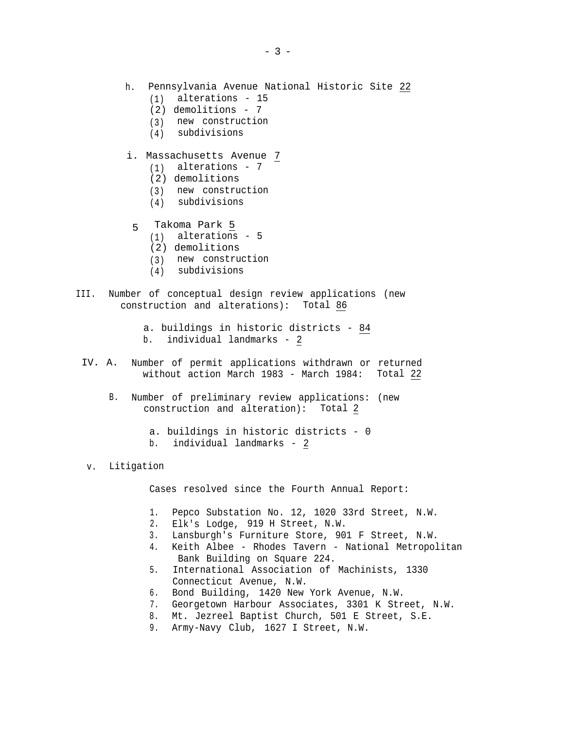- h. Pennsylvania Avenue National Historic Site 22
	- (1) alterations 15
	- (2) demolitions 7
	- (3) new construction
	- (4) subdivisions

## i. Massachusetts Avenue 7

- (1) alterations 7
- (2) demolitions
- (3) new construction
- (4) subdivisions
- 5 Takoma Park 5
	- $(1)$  alterations 5
	- (2) demolitions
	- (3) new construction
	- (4) subdivisions
- III. Number of conceptual design review applications (new construction and alterations): Total 86
	- a. buildings in historic districts 84
	- b. individual landmarks 2
	- IV. A. Number of permit applications withdrawn or returned without action March 1983 - March 1984: Total 22
		- B. Number of preliminary review applications: (new construction and alteration): Total 2
			- a. buildings in historic districts 0 b. individual landmarks - 2
	- v. Litigation

Cases resolved since the Fourth Annual Report:

- 1. Pepco Substation No. 12, 1020 33rd Street, N.W.
- 2. Elk's Lodge, 919 H Street, N.W.
- 3. Lansburgh's Furniture Store, 901 F Street, N.W.
- 4. Keith Albee Rhodes Tavern National Metropolitan Bank Building on Square 224.
- 5. International Association of Machinists, 1330 Connecticut Avenue, N.W.
- 6. Bond Building, 1420 New York Avenue, N.W.
- 7. Georgetown Harbour Associates, 3301 K Street, N.W.
- 8. Mt. Jezreel Baptist Church, 501 E Street, S.E.
- 9. Army-Navy Club, 1627 I Street, N.W.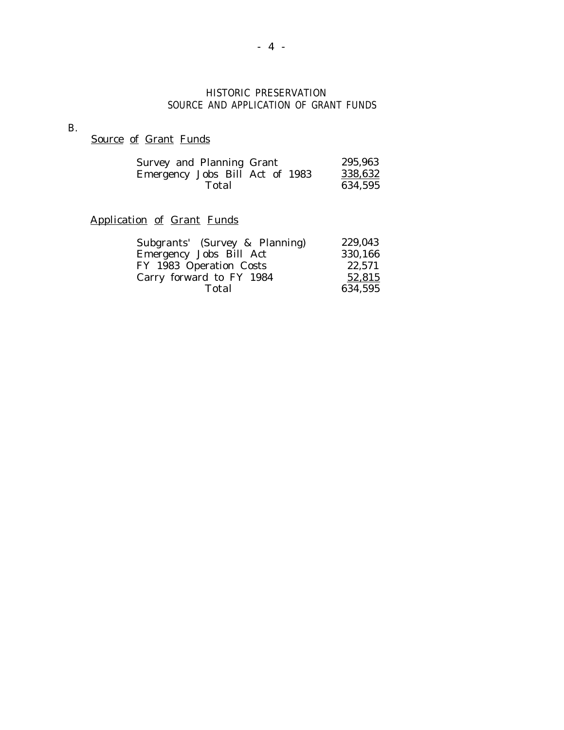## HISTORIC PRESERVATION SOURCE AND APPLICATION OF GRANT FUNDS

B.

Source of Grant Funds

| Survey and Planning Grant       | 295,963 |
|---------------------------------|---------|
| Emergency Jobs Bill Act of 1983 | 338,632 |
| Total                           | 634,595 |

## Application of Grant Funds

| Subgrants' (Survey & Planning) | 229,043 |
|--------------------------------|---------|
| Emergency Jobs Bill Act        | 330,166 |
| FY 1983 Operation Costs        | 22,571  |
| Carry forward to FY 1984       | 52,815  |
| Total                          | 634,595 |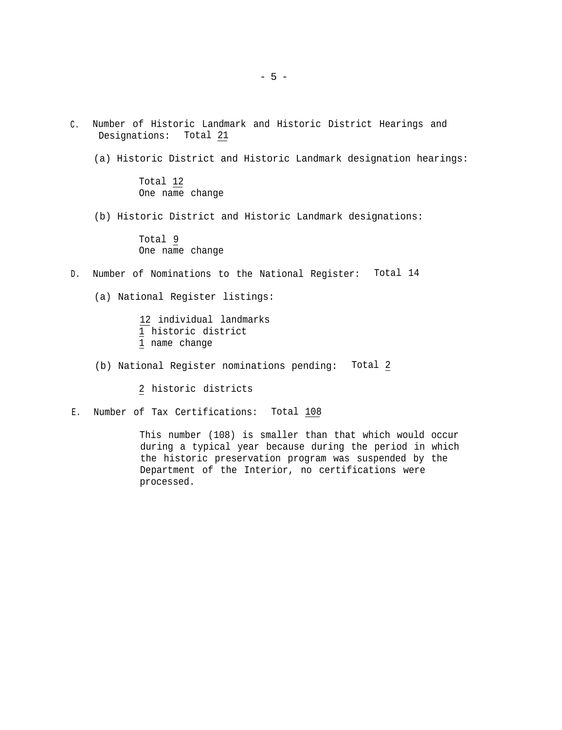- C. Number of Historic Landmark and Historic District Hearings and Designations: Total 21
	- (a) Historic District and Historic Landmark designation hearings:

Total 12 One name change

(b) Historic District and Historic Landmark designations:

Total 9 One name change

D. Number of Nominations to the National Register: Total 14

(a) National Register listings:

12 individual landmarks 1 historic district 1 name change

(b) National Register nominations pending: Total 2

2 historic districts

E. Number of Tax Certifications: Total 108

This number (108) is smaller than that which would occur during a typical year because during the period in which the historic preservation program was suspended by the Department of the Interior, no certifications were processed.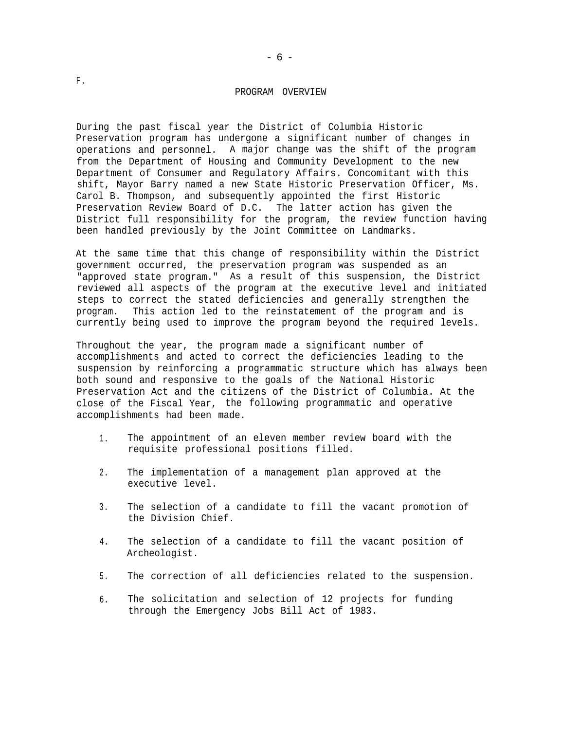#### PROGRAM OVERVIEW

-6-

During the past fiscal year the District of Columbia Historic Preservation program has undergone a significant number of changes in operations and personnel. A major change was the shift of the program from the Department of Housing and Community Development to the new Department of Consumer and Regulatory Affairs. Concomitant with this shift, Mayor Barry named a new State Historic Preservation Officer, Ms. Carol B. Thompson, and subsequently appointed the first Historic Preservation Review Board of D.C. The latter action has given the District full responsibility for the program, the review function having been handled previously by the Joint Committee on Landmarks.

At the same time that this change of responsibility within the District government occurred, the preservation program was suspended as an "approved state program." As a result of this suspension, the District reviewed all aspects of the program at the executive level and initiated steps to correct the stated deficiencies and generally strengthen the program. This action led to the reinstatement of the program and is currently being used to improve the program beyond the required levels.

Throughout the year, the program made a significant number of accomplishments and acted to correct the deficiencies leading to the suspension by reinforcing a programmatic structure which has always been both sound and responsive to the goals of the National Historic Preservation Act and the citizens of the District of Columbia. At the close of the Fiscal Year, the following programmatic and operative accomplishments had been made.

- 1. The appointment of an eleven member review board with the requisite professional positions filled.
- 2. The implementation of a management plan approved at the executive level.
- 3. The selection of a candidate to fill the vacant promotion of the Division Chief.
- 4. The selection of a candidate to fill the vacant position of Archeologist.
- 5. The correction of all deficiencies related to the suspension.
- 6. The solicitation and selection of 12 projects for funding through the Emergency Jobs Bill Act of 1983.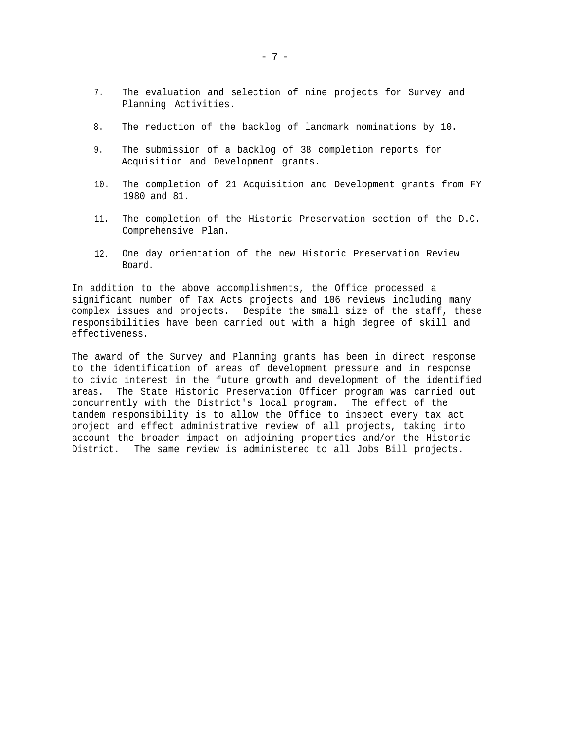- 7. The evaluation and selection of nine projects for Survey and Planning Activities.
- 8. The reduction of the backlog of landmark nominations by 10.
- 9. The submission of a backlog of 38 completion reports for Acquisition and Development grants.
- 10. The completion of 21 Acquisition and Development grants from FY 1980 and 81.
- 11. The completion of the Historic Preservation section of the D.C. Comprehensive Plan.
- 12. One day orientation of the new Historic Preservation Review Board.

In addition to the above accomplishments, the Office processed a significant number of Tax Acts projects and 106 reviews including many complex issues and projects. Despite the small size of the staff, these responsibilities have been carried out with a high degree of skill and effectiveness.

The award of the Survey and Planning grants has been in direct response to the identification of areas of development pressure and in response to civic interest in the future growth and development of the identified areas. The State Historic Preservation Officer program was carried out concurrently with the District's local program. The effect of the tandem responsibility is to allow the Office to inspect every tax act project and effect administrative review of all projects, taking into account the broader impact on adjoining properties and/or the Historic District. The same review is administered to all Jobs Bill projects.